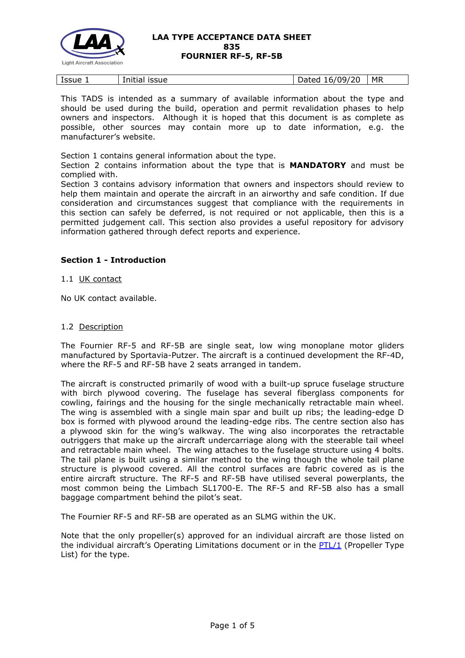

| Issue<br>Initia'<br><b>ISSUE</b> | <b>MR</b><br>709.<br>חר<br>יט '<br>12tad<br>Dalcu<br>∠∪ |
|----------------------------------|---------------------------------------------------------|
|----------------------------------|---------------------------------------------------------|

This TADS is intended as a summary of available information about the type and should be used during the build, operation and permit revalidation phases to help owners and inspectors. Although it is hoped that this document is as complete as possible, other sources may contain more up to date information, e.g. the manufacturer's website.

Section 1 contains general information about the type.

Section 2 contains information about the type that is **MANDATORY** and must be complied with.

Section 3 contains advisory information that owners and inspectors should review to help them maintain and operate the aircraft in an airworthy and safe condition. If due consideration and circumstances suggest that compliance with the requirements in this section can safely be deferred, is not required or not applicable, then this is a permitted judgement call. This section also provides a useful repository for advisory information gathered through defect reports and experience.

# **Section 1 - Introduction**

## 1.1 UK contact

No UK contact available.

### 1.2 Description

The Fournier RF-5 and RF-5B are single seat, low wing monoplane motor gliders manufactured by Sportavia-Putzer. The aircraft is a continued development the RF-4D, where the RF-5 and RF-5B have 2 seats arranged in tandem.

The aircraft is constructed primarily of wood with a built-up spruce fuselage structure with birch plywood covering. The fuselage has several fiberglass components for cowling, fairings and the housing for the single mechanically retractable main wheel. The wing is assembled with a single main spar and built up ribs; the leading-edge D box is formed with plywood around the leading-edge ribs. The centre section also has a plywood skin for the wing's walkway. The wing also incorporates the retractable outriggers that make up the aircraft undercarriage along with the steerable tail wheel and retractable main wheel. The wing attaches to the fuselage structure using 4 bolts. The tail plane is built using a similar method to the wing though the whole tail plane structure is plywood covered. All the control surfaces are fabric covered as is the entire aircraft structure. The RF-5 and RF-5B have utilised several powerplants, the most common being the Limbach SL1700-E. The RF-5 and RF-5B also has a small baggage compartment behind the pilot's seat.

The Fournier RF-5 and RF-5B are operated as an SLMG within the UK.

Note that the only propeller(s) approved for an individual aircraft are those listed on the individual aircraft's Operating Limitations document or in the [PTL/1](http://www.lightaircraftassociation.co.uk/engineering/NewMods/PTL.html) (Propeller Type List) for the type.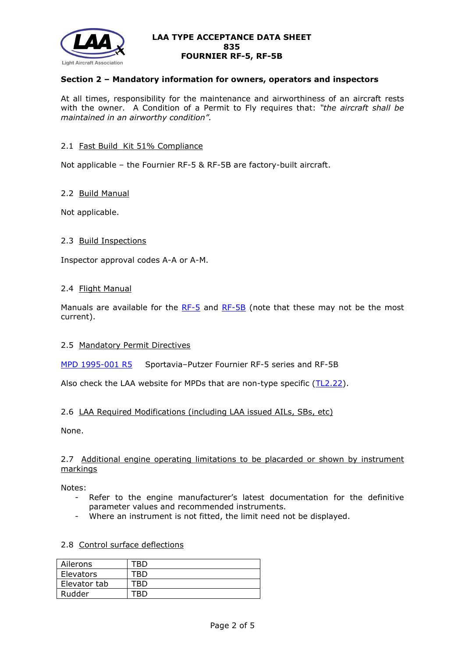

## **Section 2 – Mandatory information for owners, operators and inspectors**

At all times, responsibility for the maintenance and airworthiness of an aircraft rests with the owner. A Condition of a Permit to Fly requires that: *"the aircraft shall be maintained in an airworthy condition".* 

#### 2.1 Fast Build Kit 51% Compliance

Not applicable – the Fournier RF-5 & RF-5B are factory-built aircraft.

### 2.2 Build Manual

Not applicable.

### 2.3 Build Inspections

Inspector approval codes A-A or A-M.

### 2.4 Flight Manual

Manuals are available for the [RF-5](http://www.lightaircraftassociation.co.uk/engineering/TADs/835/FOURNIER%20RF-5%20Flight%20manual%20(English).pdf) and [RF-5B](http://www.lightaircraftassociation.co.uk/engineering/TADs/835/FOURNIER%20RF-5B%20-%20Sperber%20Flight%20manual%20(English).pdf) (note that these may not be the most current).

## 2.5 Mandatory Permit Directives

[MPD 1995-001](http://www.lightaircraftassociation.co.uk/engineering/TADs/835/mpf1995-001r5.pdf) R5 Sportavia–Putzer Fournier RF-5 series and RF-5B

Also check the LAA website for MPDs that are non-type specific [\(TL2.22\)](http://www.lightaircraftassociation.co.uk/engineering/TechnicalLeaflets/Operating%20An%20Aircraft/TL%202.22%20non-type%20specific%20MPDs.pdf).

## 2.6 LAA Required Modifications (including LAA issued AILs, SBs, etc)

None.

### 2.7 Additional engine operating limitations to be placarded or shown by instrument markings

Notes:

- Refer to the engine manufacturer's latest documentation for the definitive parameter values and recommended instruments.
- Where an instrument is not fitted, the limit need not be displayed.

# 2.8 Control surface deflections

| Ailerons     | RГ |
|--------------|----|
| Elevators    | RГ |
| Elevator tab | ΆD |
| Rudder       |    |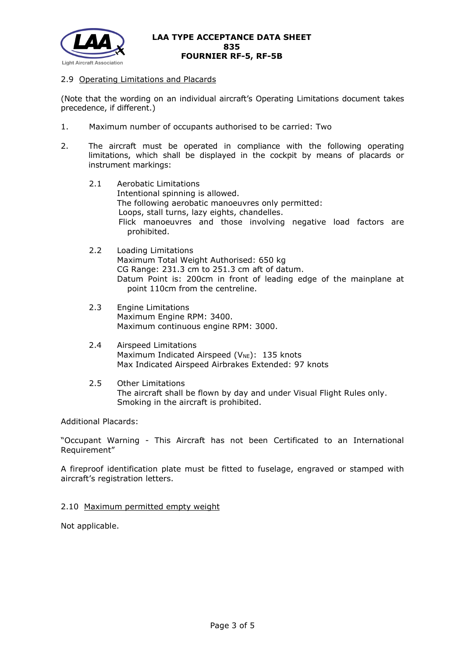

## 2.9 Operating Limitations and Placards

(Note that the wording on an individual aircraft's Operating Limitations document takes precedence, if different.)

- 1. Maximum number of occupants authorised to be carried: Two
- 2. The aircraft must be operated in compliance with the following operating limitations, which shall be displayed in the cockpit by means of placards or instrument markings:
	- 2.1 Aerobatic Limitations Intentional spinning is allowed. The following aerobatic manoeuvres only permitted: Loops, stall turns, lazy eights, chandelles. Flick manoeuvres and those involving negative load factors are prohibited.
	- 2.2 Loading Limitations Maximum Total Weight Authorised: 650 kg CG Range: 231.3 cm to 251.3 cm aft of datum. Datum Point is: 200cm in front of leading edge of the mainplane at point 110cm from the centreline.
	- 2.3 Engine Limitations Maximum Engine RPM: 3400. Maximum continuous engine RPM: 3000.
	- 2.4 Airspeed Limitations Maximum Indicated Airspeed ( $V_{NE}$ ): 135 knots Max Indicated Airspeed Airbrakes Extended: 97 knots
	- 2.5 Other Limitations The aircraft shall be flown by day and under Visual Flight Rules only. Smoking in the aircraft is prohibited.

Additional Placards:

"Occupant Warning - This Aircraft has not been Certificated to an International Requirement"

A fireproof identification plate must be fitted to fuselage, engraved or stamped with aircraft's registration letters.

2.10 Maximum permitted empty weight

Not applicable.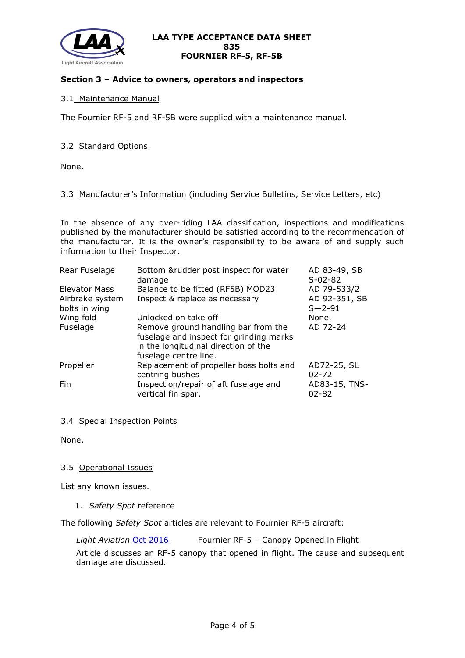

# **Section 3 – Advice to owners, operators and inspectors**

# 3.1 Maintenance Manual

The Fournier RF-5 and RF-5B were supplied with a maintenance manual.

# 3.2 Standard Options

None.

# 3.3 Manufacturer's Information (including Service Bulletins, Service Letters, etc)

In the absence of any over-riding LAA classification, inspections and modifications published by the manufacturer should be satisfied according to the recommendation of the manufacturer. It is the owner's responsibility to be aware of and supply such information to their Inspector.

| Rear Fuselage                    | Bottom &rudder post inspect for water<br>damage                                                                                                 | AD 83-49, SB<br>$S-02-82$     |
|----------------------------------|-------------------------------------------------------------------------------------------------------------------------------------------------|-------------------------------|
| <b>Elevator Mass</b>             | Balance to be fitted (RF5B) MOD23                                                                                                               | AD 79-533/2                   |
| Airbrake system<br>bolts in wing | Inspect & replace as necessary                                                                                                                  | AD 92-351, SB<br>$S - 2 - 91$ |
| Wing fold                        | Unlocked on take off                                                                                                                            | None.                         |
| Fuselage                         | Remove ground handling bar from the<br>fuselage and inspect for grinding marks<br>in the longitudinal direction of the<br>fuselage centre line. | AD 72-24                      |
| Propeller                        | Replacement of propeller boss bolts and<br>centring bushes                                                                                      | AD72-25, SL<br>$02 - 72$      |
| Fin                              | Inspection/repair of aft fuselage and<br>vertical fin spar.                                                                                     | AD83-15, TNS-<br>$02 - 82$    |

## 3.4 Special Inspection Points

None.

## 3.5 Operational Issues

List any known issues.

1. *Safety Spot* reference

The following *Safety Spot* articles are relevant to Fournier RF-5 aircraft:

Light Aviation [Oct 2016](http://www.lightaircraftassociation.co.uk/2016/Magazine/Oct/safety_spot.pdf) Fournier RF-5 - Canopy Opened in Flight Article discusses an RF-5 canopy that opened in flight. The cause and subsequent damage are discussed.